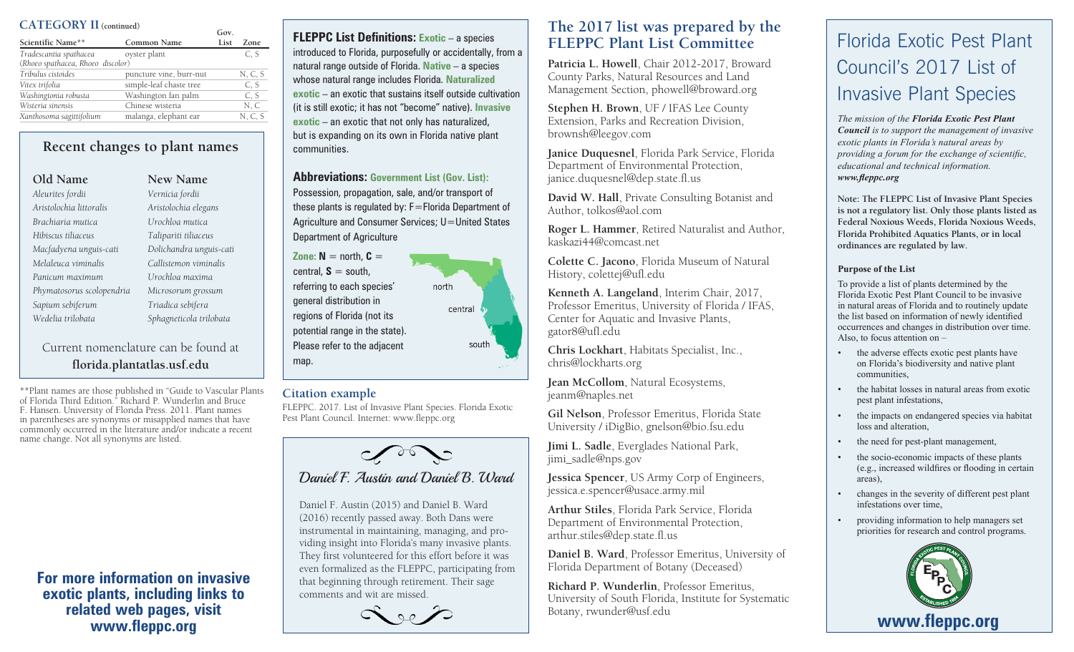### **CATEGORY II (continued)**

|                                   |                         | Gov. |         |
|-----------------------------------|-------------------------|------|---------|
| Scientific Name**                 | Common Name             | List | Zone    |
| Tradescantia spathacea            | oyster plant            |      | C. S    |
| (Rhoeo spathacea, Rhoeo discolor) |                         |      |         |
| Tribulus cistoides                | puncture vine, burr-nut |      | N, C, S |
| Vitex trifolia                    | simple-leaf chaste tree |      | C. S    |
| Washingtonia robusta              | Washington fan palm     |      | C, S    |
| Wisteria sinensis                 | Chinese wisteria        |      | N, C    |
| Xanthosoma sagittifolium          | malanga, elephant ear   |      | N, C, S |

**Recent changes to plant names**

**Old Name New Name** *Aleurites fordii Vernicia fordii Aristolochia littoralis Aristolochia elegans Brachiaria mutica Urochloa mutica Hibiscus tiliaceus Talipariti tiliaceus Macfadyena unguis-cati Dolichandra unguis-cati Melaleuca viminalis Callistemon viminalis Panicum maximum Urochloa maxima Phymatosorus scolopendria Microsorum grossum Sapium sebiferum Triadica sebifera Wedelia trilobata Sphagneticola trilobata*

Current nomenclature can be found at **florida.plantatlas.usf.edu**

\*\*Plant names are those published in "Guide to Vascular Plants of Florida Third Edition." Richard P. Wunderlin and Bruce F. Hansen. University of Florida Press. 2011. Plant names in parentheses are synonyms or misapplied names that have commonly occurred in the literature and/or indicate a recent name change. Not all synonyms are listed.

**For more information on invasive exotic plants, including links to related web pages, visit www.fleppc.org**

**FLEPPC List Definitions:** Exotic – a species introduced to Florida, purposefully or accidentally, from a natural range outside of Florida. **Native** – a species whose natural range includes Florida. **Naturalized exotic** – an exotic that sustains itself outside cultivation (it is still exotic; it has not "become" native). **Invasive exotic** – an exotic that not only has naturalized, but is expanding on its own in Florida native plant communities.

**Abbreviations: Government List (Gov. List):** Possession, propagation, sale, and/or transport of these plants is regulated by: F=Florida Department of Agriculture and Consumer Services; U=United States Department of Agriculture

**Zone:**  $N =$  north,  $C =$ central,  $S =$  south, referring to each species' north general distribution in central regions of Florida (not its potential range in the state). Please refer to the adjacent south map.

### **Citation example**

FLEPPC. 2017. List of Invasive Plant Species. Florida Exotic Pest Plant Council. Internet: www.fleppc.org



Daniel F. Austin (2015) and Daniel B. Ward (2016) recently passed away. Both Dans were instrumental in maintaining, managing, and providing insight into Florida's many invasive plants. They first volunteered for this effort before it was even formalized as the FLEPPC, participating from that beginning through retirement. Their sage comments and wit are missed.



# **The 2017 list was prepared by the FLEPPC Plant List Committee**

**Patricia L. Howell**, Chair 2012-2017, Broward County Parks, Natural Resources and Land Management Section, phowell@broward.org

**Stephen H. Brown**, UF / IFAS Lee County Extension, Parks and Recreation Division, brownsh@leegov.com

**Janice Duquesnel**, Florida Park Service, Florida Department of Environmental Protection, janice.duquesnel@dep.state.fl.us

**David W. Hall**, Private Consulting Botanist and Author, tolkos@aol.com

**Roger L. Hammer**, Retired Naturalist and Author, kaskazi44@comcast.net

**Colette C. Jacono**, Florida Museum of Natural History, colettej@ufl.edu

**Kenneth A. Langeland**, Interim Chair, 2017, Professor Emeritus, University of Florida / IFAS, Center for Aquatic and Invasive Plants, gator8@ufl.edu

**Chris Lockhart**, Habitats Specialist, Inc., chris@lockharts.org

**Jean McCollom**, Natural Ecosystems, jeanm@naples.net

**Gil Nelson**, Professor Emeritus, Florida State University / iDigBio, gnelson@bio.fsu.edu

**Jimi L. Sadle**, Everglades National Park, jimi\_sadle@nps.gov

**Jessica Spencer**, US Army Corp of Engineers, jessica.e.spencer@usace.army.mil

**Arthur Stiles**, Florida Park Service, Florida Department of Environmental Protection, arthur.stiles@dep.state.fl.us

**Daniel B. Ward**, Professor Emeritus, University of Florida Department of Botany (Deceased)

**Richard P. Wunderlin**, Professor Emeritus, University of South Florida, Institute for Systematic Botany, rwunder@usf.edu

# Florida Exotic Pest Plant Council's 2017 List of Invasive Plant Species

*The mission of the Florida Exotic Pest Plant Council is to support the management of invasive exotic plants in Florida's natural areas by providing a forum for the exchange of scientific, educational and technical information. www.fleppc.org*

**Note: The FLEPPC List of Invasive Plant Species is not a regulatory list. Only those plants listed as Federal Noxious Weeds, Florida Noxious Weeds, Florida Prohibited Aquatics Plants, or in local ordinances are regulated by law.**

#### **Purpose of the List**

To provide a list of plants determined by the Florida Exotic Pest Plant Council to be invasive in natural areas of Florida and to routinely update the list based on information of newly identified occurrences and changes in distribution over time. Also, to focus attention on –

- the adverse effects exotic pest plants have on Florida's biodiversity and native plant communities,
- the habitat losses in natural areas from exotic pest plant infestations,
- the impacts on endangered species via habitat loss and alteration,
- the need for pest-plant management,
- the socio-economic impacts of these plants (e.g., increased wildfires or flooding in certain areas),
- changes in the severity of different pest plant infestations over time,
- providing information to help managers set priorities for research and control programs.